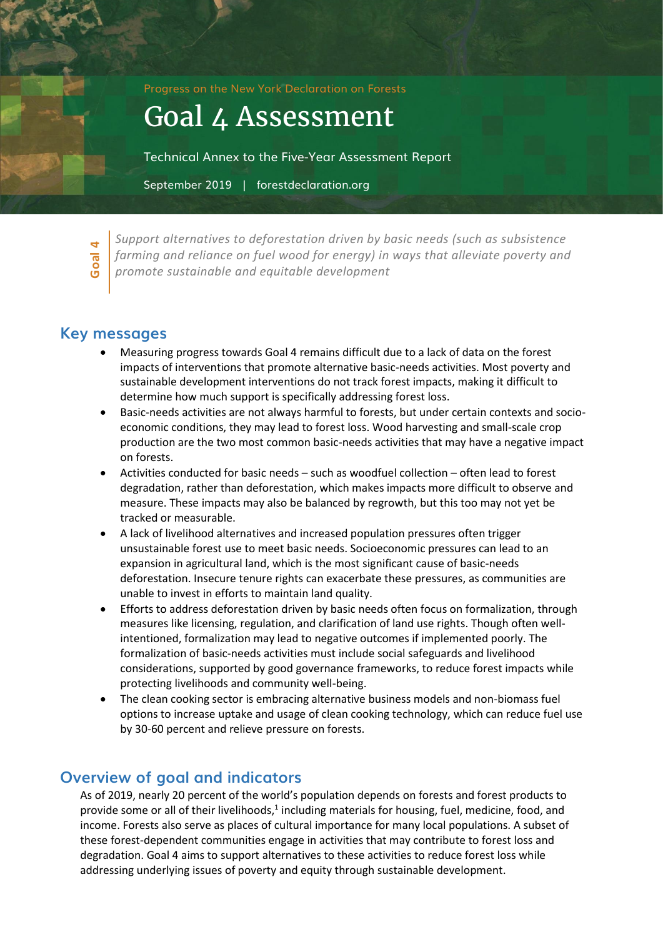Progress on the New York Declaration on Forests

# Goal 4 Assessment

Technical Annex to the Five-Year Assessment Report

September 2019 | forestdeclaration.org

**Goal 4**

*Support alternatives to deforestation driven by basic needs (such as subsistence farming and reliance on fuel wood for energy) in ways that alleviate poverty and promote sustainable and equitable development*

# **Key messages**

- Measuring progress towards Goal 4 remains difficult due to a lack of data on the forest impacts of interventions that promote alternative basic-needs activities. Most poverty and sustainable development interventions do not track forest impacts, making it difficult to determine how much support is specifically addressing forest loss.
- Basic-needs activities are not always harmful to forests, but under certain contexts and socioeconomic conditions, they may lead to forest loss. Wood harvesting and small-scale crop production are the two most common basic-needs activities that may have a negative impact on forests.
- Activities conducted for basic needs such as woodfuel collection often lead to forest degradation, rather than deforestation, which makes impacts more difficult to observe and measure. These impacts may also be balanced by regrowth, but this too may not yet be tracked or measurable.
- A lack of livelihood alternatives and increased population pressures often trigger unsustainable forest use to meet basic needs. Socioeconomic pressures can lead to an expansion in agricultural land, which is the most significant cause of basic-needs deforestation. Insecure tenure rights can exacerbate these pressures, as communities are unable to invest in efforts to maintain land quality.
- Efforts to address deforestation driven by basic needs often focus on formalization, through measures like licensing, regulation, and clarification of land use rights. Though often wellintentioned, formalization may lead to negative outcomes if implemented poorly. The formalization of basic-needs activities must include social safeguards and livelihood considerations, supported by good governance frameworks, to reduce forest impacts while protecting livelihoods and community well-being.
- The clean cooking sector is embracing alternative business models and non-biomass fuel options to increase uptake and usage of clean cooking technology, which can reduce fuel use by 30-60 percent and relieve pressure on forests.

# **Overview of goal and indicators**

As of 2019, nearly 20 percent of the world's population depends on forests and forest products to provide some or all of their livelihoods,<sup>1</sup> including materials for housing, fuel, medicine, food, and income. Forests also serve as places of cultural importance for many local populations. A subset of these forest-dependent communities engage in activities that may contribute to forest loss and degradation. Goal 4 aims to support alternatives to these activities to reduce forest loss while addressing underlying issues of poverty and equity through sustainable development.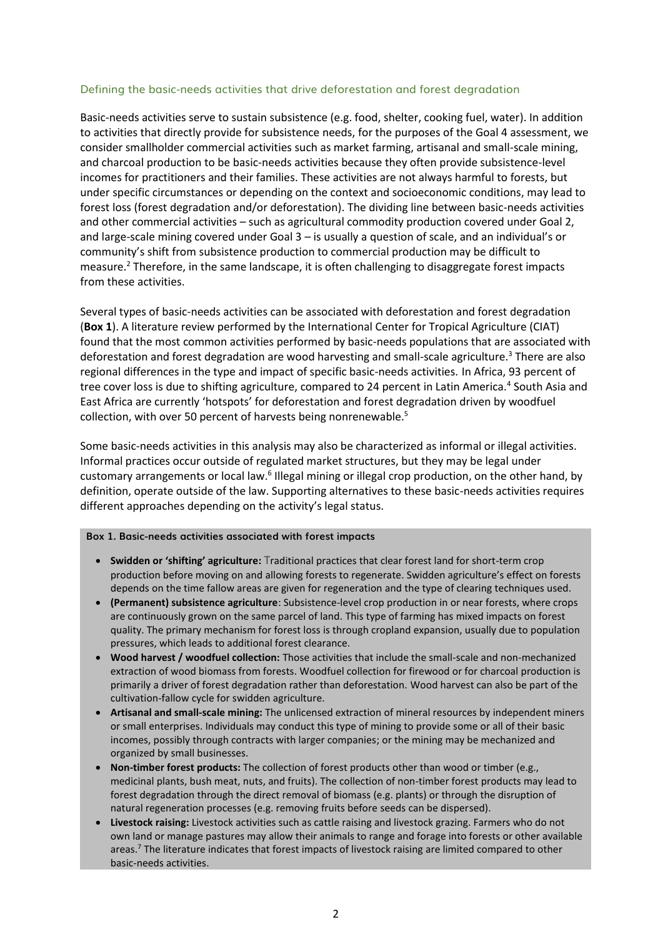#### Defining the basic-needs activities that drive deforestation and forest degradation

Basic-needs activities serve to sustain subsistence (e.g. food, shelter, cooking fuel, water). In addition to activities that directly provide for subsistence needs, for the purposes of the Goal 4 assessment, we consider smallholder commercial activities such as market farming, artisanal and small-scale mining, and charcoal production to be basic-needs activities because they often provide subsistence-level incomes for practitioners and their families. These activities are not always harmful to forests, but under specific circumstances or depending on the context and socioeconomic conditions, may lead to forest loss (forest degradation and/or deforestation). The dividing line between basic-needs activities and other commercial activities – such as agricultural commodity production covered under Goal 2, and large-scale mining covered under Goal 3 – is usually a question of scale, and an individual's or community's shift from subsistence production to commercial production may be difficult to measure.<sup>2</sup> Therefore, in the same landscape, it is often challenging to disaggregate forest impacts from these activities.

Several types of basic-needs activities can be associated with deforestation and forest degradation (**Box 1**). A literature review performed by the International Center for Tropical Agriculture (CIAT) found that the most common activities performed by basic-needs populations that are associated with deforestation and forest degradation are wood harvesting and small-scale agriculture.<sup>3</sup> There are also regional differences in the type and impact of specific basic-needs activities. In Africa, 93 percent of tree cover loss is due to shifting agriculture, compared to 24 percent in Latin America.<sup>4</sup> South Asia and East Africa are currently 'hotspots' for deforestation and forest degradation driven by woodfuel collection, with over 50 percent of harvests being nonrenewable.<sup>5</sup>

Some basic-needs activities in this analysis may also be characterized as informal or illegal activities. Informal practices occur outside of regulated market structures, but they may be legal under customary arrangements or local law.<sup>6</sup> Illegal mining or illegal crop production, on the other hand, by definition, operate outside of the law. Supporting alternatives to these basic-needs activities requires different approaches depending on the activity's legal status.

#### **Box 1. Basic-needs activities associated with forest impacts**

- **Swidden or 'shifting' agriculture:** Traditional practices that clear forest land for short-term crop production before moving on and allowing forests to regenerate. Swidden agriculture's effect on forests depends on the time fallow areas are given for regeneration and the type of clearing techniques used.
- **(Permanent) subsistence agriculture**: Subsistence-level crop production in or near forests, where crops are continuously grown on the same parcel of land. This type of farming has mixed impacts on forest quality. The primary mechanism for forest loss is through cropland expansion, usually due to population pressures, which leads to additional forest clearance.
- **Wood harvest / woodfuel collection:** Those activities that include the small-scale and non-mechanized extraction of wood biomass from forests. Woodfuel collection for firewood or for charcoal production is primarily a driver of forest degradation rather than deforestation. Wood harvest can also be part of the cultivation-fallow cycle for swidden agriculture.
- **Artisanal and small-scale mining:** The unlicensed extraction of mineral resources by independent miners or small enterprises. Individuals may conduct this type of mining to provide some or all of their basic incomes, possibly through contracts with larger companies; or the mining may be mechanized and organized by small businesses.
- **Non-timber forest products:** The collection of forest products other than wood or timber (e.g., medicinal plants, bush meat, nuts, and fruits). The collection of non-timber forest products may lead to forest degradation through the direct removal of biomass (e.g. plants) or through the disruption of natural regeneration processes (e.g. removing fruits before seeds can be dispersed).
- **Livestock raising:** Livestock activities such as cattle raising and livestock grazing. Farmers who do not own land or manage pastures may allow their animals to range and forage into forests or other available areas. <sup>7</sup> The literature indicates that forest impacts of livestock raising are limited compared to other basic-needs activities.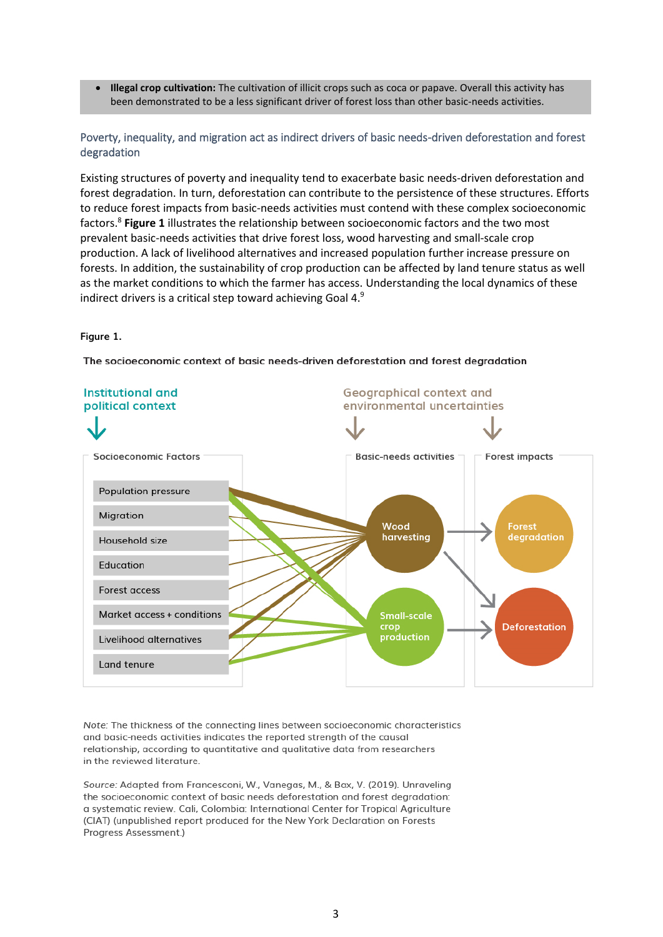• **Illegal crop cultivation:** The cultivation of illicit crops such as coca or papave. Overall this activity has been demonstrated to be a less significant driver of forest loss than other basic-needs activities.

Poverty, inequality, and migration act as indirect drivers of basic needs-driven deforestation and forest degradation

Existing structures of poverty and inequality tend to exacerbate basic needs-driven deforestation and forest degradation. In turn, deforestation can contribute to the persistence of these structures. Efforts to reduce forest impacts from basic-needs activities must contend with these complex socioeconomic factors.<sup>8</sup> **Figure 1** illustrates the relationship between socioeconomic factors and the two most prevalent basic-needs activities that drive forest loss, wood harvesting and small-scale crop production. A lack of livelihood alternatives and increased population further increase pressure on forests. In addition, the sustainability of crop production can be affected by land tenure status as well as the market conditions to which the farmer has access. Understanding the local dynamics of these indirect drivers is a critical step toward achieving Goal 4.9

#### **Figure 1.**

The socioeconomic context of basic needs-driven deforestation and forest degradation



Note: The thickness of the connecting lines between socioeconomic characteristics and basic-needs activities indicates the reported strength of the causal relationship, according to quantitative and qualitative data from researchers in the reviewed literature.

Source: Adapted from Francesconi, W., Vanegas, M., & Bax, V. (2019). Unraveling the socioeconomic context of basic needs deforestation and forest degradation: a systematic review. Cali, Colombia: International Center for Tropical Agriculture (CIAT) (unpublished report produced for the New York Declaration on Forests Progress Assessment.)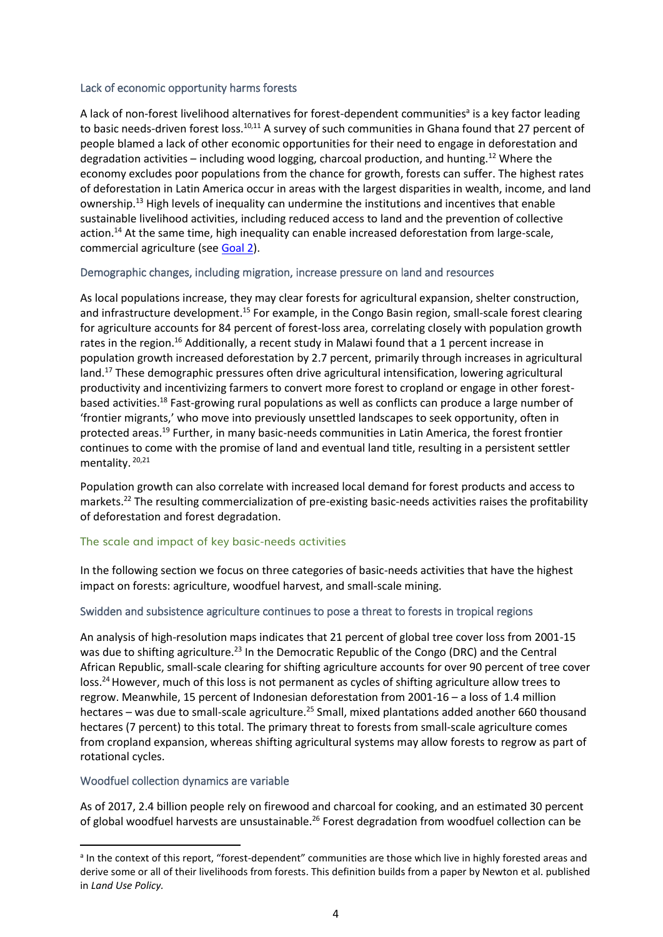#### Lack of economic opportunity harms forests

A lack of non-forest livelihood alternatives for forest-dependent communities<sup>a</sup> is a key factor leading to basic needs-driven forest loss.<sup>10,11</sup> A survey of such communities in Ghana found that 27 percent of people blamed a lack of other economic opportunities for their need to engage in deforestation and degradation activities – including wood logging, charcoal production, and hunting.<sup>12</sup> Where the economy excludes poor populations from the chance for growth, forests can suffer. The highest rates of deforestation in Latin America occur in areas with the largest disparities in wealth, income, and land ownership.<sup>13</sup> High levels of inequality can undermine the institutions and incentives that enable sustainable livelihood activities, including reduced access to land and the prevention of collective action.<sup>14</sup> At the same time, high inequality can enable increased deforestation from large-scale, commercial agriculture (see [Goal 2\)](http://forestdeclaration.org/goal/goal-2/).

## Demographic changes, including migration, increase pressure on land and resources

As local populations increase, they may clear forests for agricultural expansion, shelter construction, and infrastructure development.<sup>15</sup> For example, in the Congo Basin region, small-scale forest clearing for agriculture accounts for 84 percent of forest-loss area, correlating closely with population growth rates in the region.<sup>16</sup> Additionally, a recent study in Malawi found that a 1 percent increase in population growth increased deforestation by 2.7 percent, primarily through increases in agricultural land.<sup>17</sup> These demographic pressures often drive agricultural intensification, lowering agricultural productivity and incentivizing farmers to convert more forest to cropland or engage in other forestbased activities.<sup>18</sup> Fast-growing rural populations as well as conflicts can produce a large number of 'frontier migrants,' who move into previously unsettled landscapes to seek opportunity, often in protected areas. <sup>19</sup> Further, in many basic-needs communities in Latin America, the forest frontier continues to come with the promise of land and eventual land title, resulting in a persistent settler mentality. 20,21

Population growth can also correlate with increased local demand for forest products and access to markets.<sup>22</sup> The resulting commercialization of pre-existing basic-needs activities raises the profitability of deforestation and forest degradation.

## The scale and impact of key basic-needs activities

In the following section we focus on three categories of basic-needs activities that have the highest impact on forests: agriculture, woodfuel harvest, and small-scale mining.

## Swidden and subsistence agriculture continues to pose a threat to forests in tropical regions

An analysis of high-resolution maps indicates that 21 percent of global tree cover loss from 2001-15 was due to shifting agriculture.<sup>23</sup> In the Democratic Republic of the Congo (DRC) and the Central African Republic, small-scale clearing for shifting agriculture accounts for over 90 percent of tree cover loss.<sup>24</sup> However, much of this loss is not permanent as cycles of shifting agriculture allow trees to regrow. Meanwhile, 15 percent of Indonesian deforestation from 2001-16 – a loss of 1.4 million hectares – was due to small-scale agriculture.<sup>25</sup> Small, mixed plantations added another 660 thousand hectares (7 percent) to this total. The primary threat to forests from small-scale agriculture comes from cropland expansion, whereas shifting agricultural systems may allow forests to regrow as part of rotational cycles.

## Woodfuel collection dynamics are variable

As of 2017, 2.4 billion people rely on firewood and charcoal for cooking, and an estimated 30 percent of global woodfuel harvests are unsustainable.<sup>26</sup> Forest degradation from woodfuel collection can be

<sup>&</sup>lt;sup>a</sup> In the context of this report, "forest-dependent" communities are those which live in highly forested areas and derive some or all of their livelihoods from forests. This definition builds from a paper by Newton et al. published in *Land Use Policy.*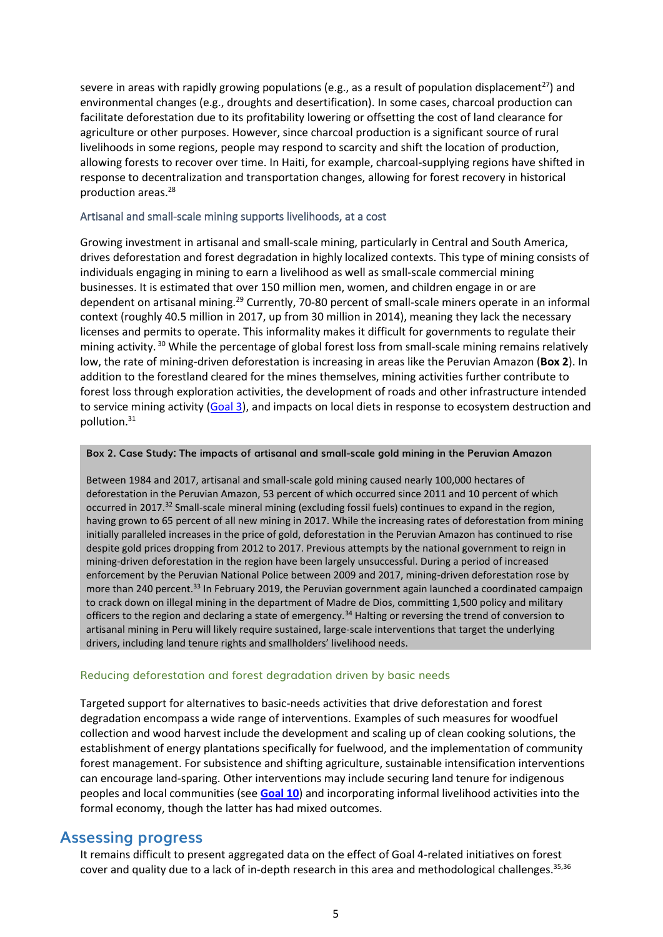severe in areas with rapidly growing populations (e.g., as a result of population displacement<sup>27</sup>) and environmental changes (e.g., droughts and desertification). In some cases, charcoal production can facilitate deforestation due to its profitability lowering or offsetting the cost of land clearance for agriculture or other purposes. However, since charcoal production is a significant source of rural livelihoods in some regions, people may respond to scarcity and shift the location of production, allowing forests to recover over time. In Haiti, for example, charcoal-supplying regions have shifted in response to decentralization and transportation changes, allowing for forest recovery in historical production areas.<sup>28</sup>

#### Artisanal and small-scale mining supports livelihoods, at a cost

Growing investment in artisanal and small-scale mining, particularly in Central and South America, drives deforestation and forest degradation in highly localized contexts. This type of mining consists of individuals engaging in mining to earn a livelihood as well as small-scale commercial mining businesses. It is estimated that over 150 million men, women, and children engage in or are dependent on artisanal mining.<sup>29</sup> Currently, 70-80 percent of small-scale miners operate in an informal context (roughly 40.5 million in 2017, up from 30 million in 2014), meaning they lack the necessary licenses and permits to operate. This informality makes it difficult for governments to regulate their mining activity. <sup>30</sup> While the percentage of global forest loss from small-scale mining remains relatively low, the rate of mining-driven deforestation is increasing in areas like the Peruvian Amazon (**Box 2**). In addition to the forestland cleared for the mines themselves, mining activities further contribute to forest loss through exploration activities, the development of roads and other infrastructure intended to service mining activity [\(Goal 3\)](http://www.forestdeclaration.org/goals/goal-3), and impacts on local diets in response to ecosystem destruction and pollution.<sup>31</sup>

#### **Box 2. Case Study: The impacts of artisanal and small-scale gold mining in the Peruvian Amazon**

Between 1984 and 2017, artisanal and small-scale gold mining caused nearly 100,000 hectares of deforestation in the Peruvian Amazon, 53 percent of which occurred since 2011 and 10 percent of which occurred in 2017.<sup>32</sup> Small-scale mineral mining (excluding fossil fuels) continues to expand in the region, having grown to 65 percent of all new mining in 2017. While the increasing rates of deforestation from mining initially paralleled increases in the price of gold, deforestation in the Peruvian Amazon has continued to rise despite gold prices dropping from 2012 to 2017. Previous attempts by the national government to reign in mining-driven deforestation in the region have been largely unsuccessful. During a period of increased enforcement by the Peruvian National Police between 2009 and 2017, mining-driven deforestation rose by more than 240 percent.<sup>33</sup> In February 2019, the Peruvian government again launched a coordinated campaign to crack down on illegal mining in the department of Madre de Dios, committing 1,500 policy and military officers to the region and declaring a state of emergency.<sup>34</sup> Halting or reversing the trend of conversion to artisanal mining in Peru will likely require sustained, large-scale interventions that target the underlying drivers, including land tenure rights and smallholders' livelihood needs.

#### Reducing deforestation and forest degradation driven by basic needs

Targeted support for alternatives to basic-needs activities that drive deforestation and forest degradation encompass a wide range of interventions. Examples of such measures for woodfuel collection and wood harvest include the development and scaling up of clean cooking solutions, the establishment of energy plantations specifically for fuelwood, and the implementation of community forest management. For subsistence and shifting agriculture, sustainable intensification interventions can encourage land-sparing. Other interventions may include securing land tenure for indigenous peoples and local communities (see **[Goal 10](http://www.forestdeclaration.org/goals/goal-10)**) and incorporating informal livelihood activities into the formal economy, though the latter has had mixed outcomes.

## **Assessing progress**

It remains difficult to present aggregated data on the effect of Goal 4-related initiatives on forest cover and quality due to a lack of in-depth research in this area and methodological challenges.<sup>35,36</sup>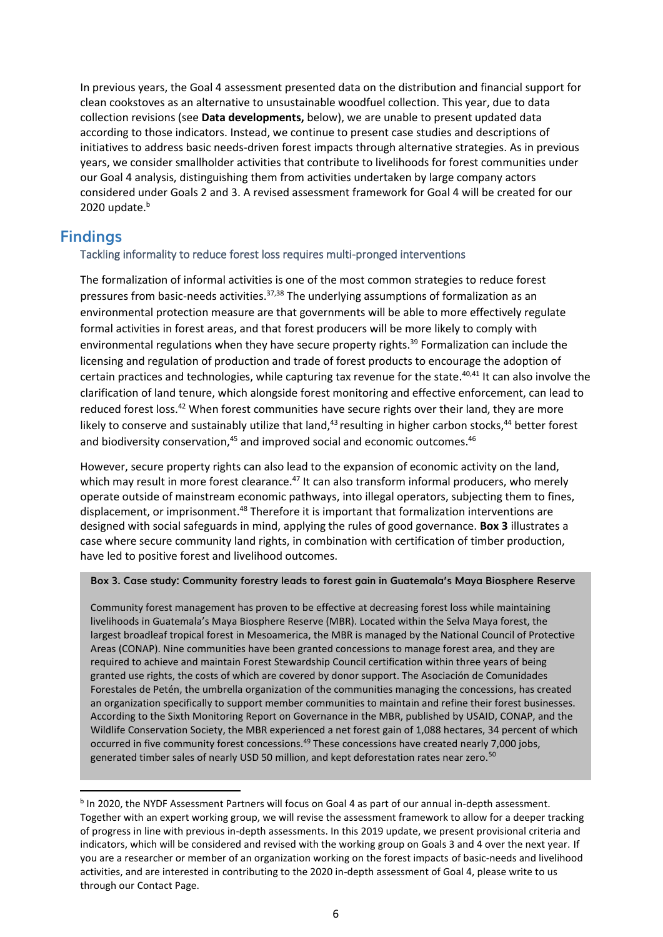In previous years, the Goal 4 assessment presented data on the distribution and financial support for clean cookstoves as an alternative to unsustainable woodfuel collection. This year, due to data collection revisions (see **Data developments,** below), we are unable to present updated data according to those indicators. Instead, we continue to present case studies and descriptions of initiatives to address basic needs-driven forest impacts through alternative strategies. As in previous years, we consider smallholder activities that contribute to livelihoods for forest communities under our Goal 4 analysis, distinguishing them from activities undertaken by large company actors considered under Goals 2 and 3. A revised assessment framework for Goal 4 will be created for our 2020 update. $b$ 

# **Findings**

## Tackling informality to reduce forest loss requires multi-pronged interventions

The formalization of informal activities is one of the most common strategies to reduce forest pressures from basic-needs activities.<sup>37,38</sup> The underlying assumptions of formalization as an environmental protection measure are that governments will be able to more effectively regulate formal activities in forest areas, and that forest producers will be more likely to comply with environmental regulations when they have secure property rights.<sup>39</sup> Formalization can include the licensing and regulation of production and trade of forest products to encourage the adoption of certain practices and technologies, while capturing tax revenue for the state.<sup>40,41</sup> It can also involve the clarification of land tenure, which alongside forest monitoring and effective enforcement, can lead to reduced forest loss.<sup>42</sup> When forest communities have secure rights over their land, they are more likely to conserve and sustainably utilize that land,<sup>43</sup> resulting in higher carbon stocks,<sup>44</sup> better forest and biodiversity conservation, $45$  and improved social and economic outcomes. $46$ 

However, secure property rights can also lead to the expansion of economic activity on the land, which may result in more forest clearance.<sup>47</sup> It can also transform informal producers, who merely operate outside of mainstream economic pathways, into illegal operators, subjecting them to fines, displacement, or imprisonment.<sup>48</sup> Therefore it is important that formalization interventions are designed with social safeguards in mind, applying the rules of good governance. **Box 3** illustrates a case where secure community land rights, in combination with certification of timber production, have led to positive forest and livelihood outcomes.

#### **Box 3. Case study: Community forestry leads to forest gain in Guatemala's Maya Biosphere Reserve**

Community forest management has proven to be effective at decreasing forest loss while maintaining livelihoods in Guatemala's Maya Biosphere Reserve (MBR). Located within the Selva Maya forest, the largest broadleaf tropical forest in Mesoamerica, the MBR is managed by the National Council of Protective Areas (CONAP). Nine communities have been granted concessions to manage forest area, and they are required to achieve and maintain Forest Stewardship Council certification within three years of being granted use rights, the costs of which are covered by donor support. The Asociación de Comunidades Forestales de Petén, the umbrella organization of the communities managing the concessions, has created an organization specifically to support member communities to maintain and refine their forest businesses. According to the Sixth Monitoring Report on Governance in the MBR, published by USAID, CONAP, and the Wildlife Conservation Society, the MBR experienced a net forest gain of 1,088 hectares, 34 percent of which occurred in five community forest concessions.<sup>49</sup> These concessions have created nearly 7,000 jobs, generated timber sales of nearly USD 50 million, and kept deforestation rates near zero.<sup>50</sup>

<sup>&</sup>lt;sup>b</sup> In 2020, the NYDF Assessment Partners will focus on Goal 4 as part of our annual in-depth assessment. Together with an expert working group, we will revise the assessment framework to allow for a deeper tracking of progress in line with previous in-depth assessments. In this 2019 update, we present provisional criteria and indicators, which will be considered and revised with the working group on Goals 3 and 4 over the next year. If you are a researcher or member of an organization working on the forest impacts of basic-needs and livelihood activities, and are interested in contributing to the 2020 in-depth assessment of Goal 4, please write to us through our Contact Page.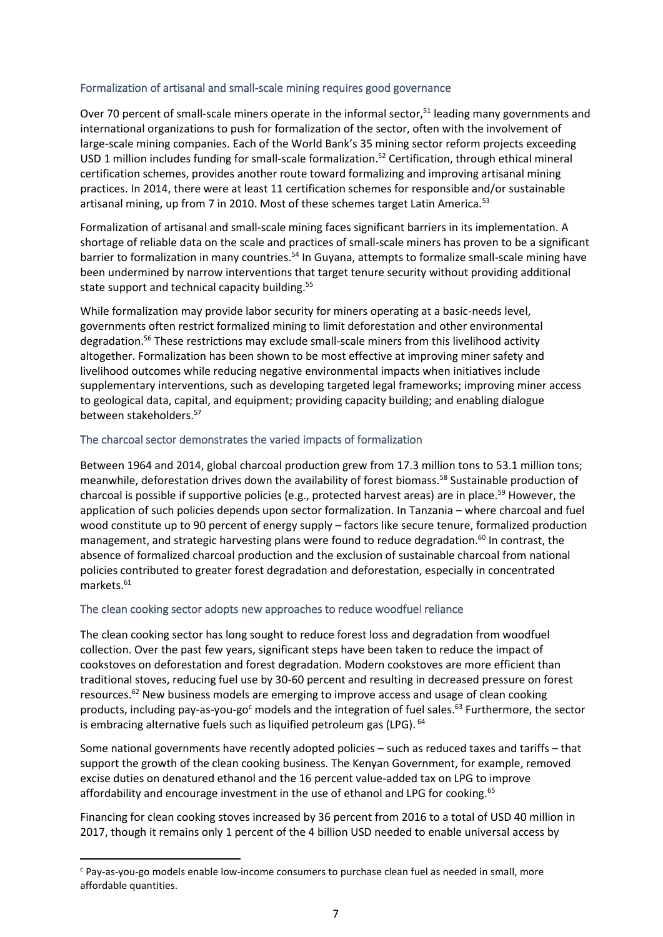#### Formalization of artisanal and small-scale mining requires good governance

Over 70 percent of small-scale miners operate in the informal sector,<sup>51</sup> leading many governments and international organizations to push for formalization of the sector, often with the involvement of large-scale mining companies. Each of the World Bank's 35 mining sector reform projects exceeding USD 1 million includes funding for small-scale formalization.<sup>52</sup> Certification, through ethical mineral certification schemes, provides another route toward formalizing and improving artisanal mining practices. In 2014, there were at least 11 certification schemes for responsible and/or sustainable artisanal mining, up from 7 in 2010. Most of these schemes target Latin America.<sup>53</sup>

Formalization of artisanal and small-scale mining faces significant barriers in its implementation. A shortage of reliable data on the scale and practices of small-scale miners has proven to be a significant barrier to formalization in many countries.<sup>54</sup> In Guyana, attempts to formalize small-scale mining have been undermined by narrow interventions that target tenure security without providing additional state support and technical capacity building.<sup>55</sup>

While formalization may provide labor security for miners operating at a basic-needs level, governments often restrict formalized mining to limit deforestation and other environmental degradation.<sup>56</sup> These restrictions may exclude small-scale miners from this livelihood activity altogether. Formalization has been shown to be most effective at improving miner safety and livelihood outcomes while reducing negative environmental impacts when initiatives include supplementary interventions, such as developing targeted legal frameworks; improving miner access to geological data, capital, and equipment; providing capacity building; and enabling dialogue between stakeholders.<sup>57</sup>

#### The charcoal sector demonstrates the varied impacts of formalization

Between 1964 and 2014, global charcoal production grew from 17.3 million tons to 53.1 million tons; meanwhile, deforestation drives down the availability of forest biomass.<sup>58</sup> Sustainable production of charcoal is possible if supportive policies (e.g., protected harvest areas) are in place.<sup>59</sup> However, the application of such policies depends upon sector formalization. In Tanzania – where charcoal and fuel wood constitute up to 90 percent of energy supply – factors like secure tenure, formalized production management, and strategic harvesting plans were found to reduce degradation. <sup>60</sup> In contrast, the absence of formalized charcoal production and the exclusion of sustainable charcoal from national policies contributed to greater forest degradation and deforestation, especially in concentrated markets.<sup>61</sup>

## The clean cooking sector adopts new approaches to reduce woodfuel reliance

The clean cooking sector has long sought to reduce forest loss and degradation from woodfuel collection. Over the past few years, significant steps have been taken to reduce the impact of cookstoves on deforestation and forest degradation. Modern cookstoves are more efficient than traditional stoves, reducing fuel use by 30-60 percent and resulting in decreased pressure on forest resources.<sup>62</sup> New business models are emerging to improve access and usage of clean cooking products, including pay-as-you-go<sup>c</sup> models and the integration of fuel sales.<sup>63</sup> Furthermore, the sector is embracing alternative fuels such as liquified petroleum gas (LPG). <sup>64</sup>

Some national governments have recently adopted policies – such as reduced taxes and tariffs – that support the growth of the clean cooking business. The Kenyan Government, for example, removed excise duties on denatured ethanol and the 16 percent value-added tax on LPG to improve affordability and encourage investment in the use of ethanol and LPG for cooking.<sup>65</sup>

Financing for clean cooking stoves increased by 36 percent from 2016 to a total of USD 40 million in 2017, though it remains only 1 percent of the 4 billion USD needed to enable universal access by

 $c$  Pay-as-you-go models enable low-income consumers to purchase clean fuel as needed in small, more affordable quantities.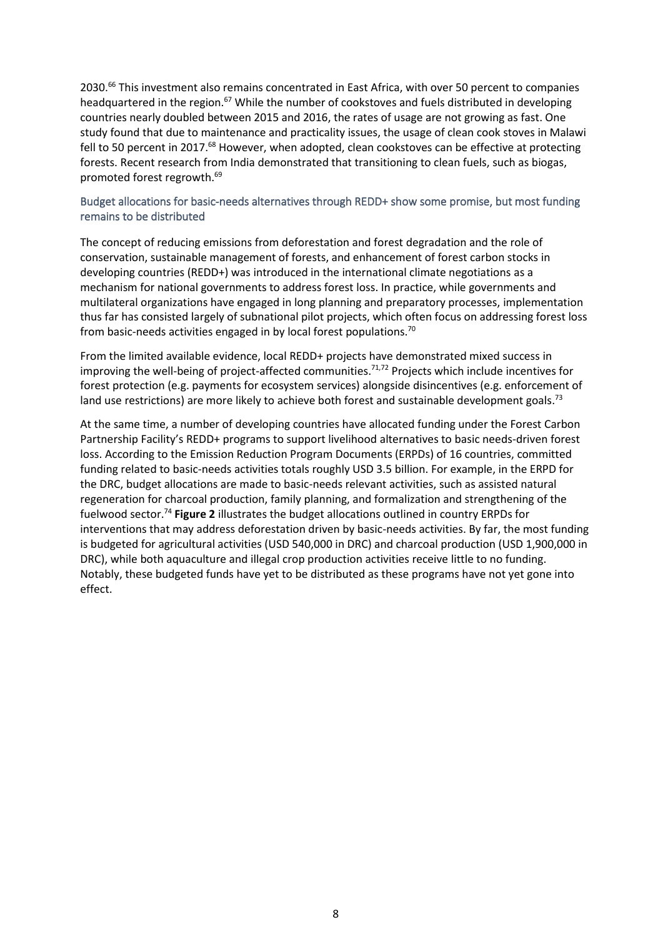2030.<sup>66</sup> This investment also remains concentrated in East Africa, with over 50 percent to companies headquartered in the region.<sup>67</sup> While the number of cookstoves and fuels distributed in developing countries nearly doubled between 2015 and 2016, the rates of usage are not growing as fast. One study found that due to maintenance and practicality issues, the usage of clean cook stoves in Malawi fell to 50 percent in 2017.<sup>68</sup> However, when adopted, clean cookstoves can be effective at protecting forests. Recent research from India demonstrated that transitioning to clean fuels, such as biogas, promoted forest regrowth.<sup>69</sup>

#### Budget allocations for basic-needs alternatives through REDD+ show some promise, but most funding remains to be distributed

The concept of reducing emissions from deforestation and forest degradation and the role of conservation, sustainable management of forests, and enhancement of forest carbon stocks in developing countries (REDD+) was introduced in the international climate negotiations as a mechanism for national governments to address forest loss. In practice, while governments and multilateral organizations have engaged in long planning and preparatory processes, implementation thus far has consisted largely of subnational pilot projects, which often focus on addressing forest loss from basic-needs activities engaged in by local forest populations.<sup>70</sup>

From the limited available evidence, local REDD+ projects have demonstrated mixed success in improving the well-being of project-affected communities.<sup>71,72</sup> Projects which include incentives for forest protection (e.g. payments for ecosystem services) alongside disincentives (e.g. enforcement of land use restrictions) are more likely to achieve both forest and sustainable development goals.<sup>73</sup>

At the same time, a number of developing countries have allocated funding under the Forest Carbon Partnership Facility's REDD+ programs to support livelihood alternatives to basic needs-driven forest loss. According to the Emission Reduction Program Documents (ERPDs) of 16 countries, committed funding related to basic-needs activities totals roughly USD 3.5 billion. For example, in the ERPD for the DRC, budget allocations are made to basic-needs relevant activities, such as assisted natural regeneration for charcoal production, family planning, and formalization and strengthening of the fuelwood sector.<sup>74</sup> **Figure 2** illustrates the budget allocations outlined in country ERPDs for interventions that may address deforestation driven by basic-needs activities. By far, the most funding is budgeted for agricultural activities (USD 540,000 in DRC) and charcoal production (USD 1,900,000 in DRC), while both aquaculture and illegal crop production activities receive little to no funding. Notably, these budgeted funds have yet to be distributed as these programs have not yet gone into effect.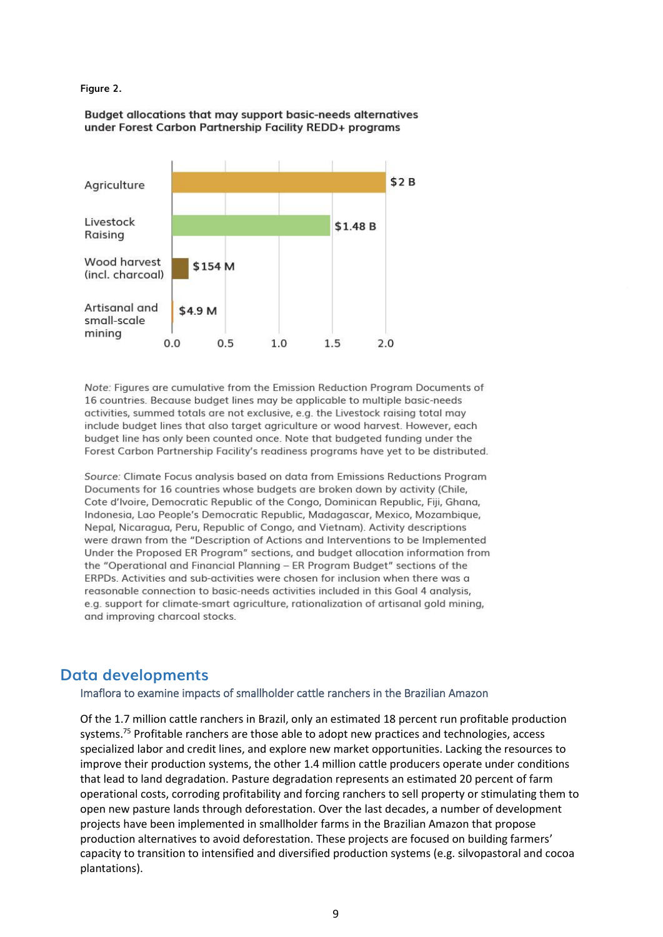#### **Figure 2.**

Budget allocations that may support basic-needs alternatives under Forest Carbon Partnership Facility REDD+ programs



Note: Figures are cumulative from the Emission Reduction Program Documents of 16 countries. Because budget lines may be applicable to multiple basic-needs activities, summed totals are not exclusive, e.g. the Livestock raising total may include budget lines that also target agriculture or wood harvest. However, each budget line has only been counted once. Note that budgeted funding under the Forest Carbon Partnership Facility's readiness programs have yet to be distributed.

Source: Climate Focus analysis based on data from Emissions Reductions Program Documents for 16 countries whose budgets are broken down by activity (Chile, Cote d'Ivoire, Democratic Republic of the Congo, Dominican Republic, Fiji, Ghana, Indonesia, Lao People's Democratic Republic, Madagascar, Mexico, Mozambique, Nepal, Nicaragua, Peru, Republic of Congo, and Vietnam). Activity descriptions were drawn from the "Description of Actions and Interventions to be Implemented Under the Proposed ER Program" sections, and budget allocation information from the "Operational and Financial Planning - ER Program Budget" sections of the ERPDs. Activities and sub-activities were chosen for inclusion when there was a reasonable connection to basic-needs activities included in this Goal 4 analysis, e.g. support for climate-smart agriculture, rationalization of artisanal gold mining, and improving charcoal stocks.

## **Data developments**

Imaflora to examine impacts of smallholder cattle ranchers in the Brazilian Amazon

Of the 1.7 million cattle ranchers in Brazil, only an estimated 18 percent run profitable production systems.<sup>75</sup> Profitable ranchers are those able to adopt new practices and technologies, access specialized labor and credit lines, and explore new market opportunities. Lacking the resources to improve their production systems, the other 1.4 million cattle producers operate under conditions that lead to land degradation. Pasture degradation represents an estimated 20 percent of farm operational costs, corroding profitability and forcing ranchers to sell property or stimulating them to open new pasture lands through deforestation. Over the last decades, a number of development projects have been implemented in smallholder farms in the Brazilian Amazon that propose production alternatives to avoid deforestation. These projects are focused on building farmers' capacity to transition to intensified and diversified production systems (e.g. silvopastoral and cocoa plantations).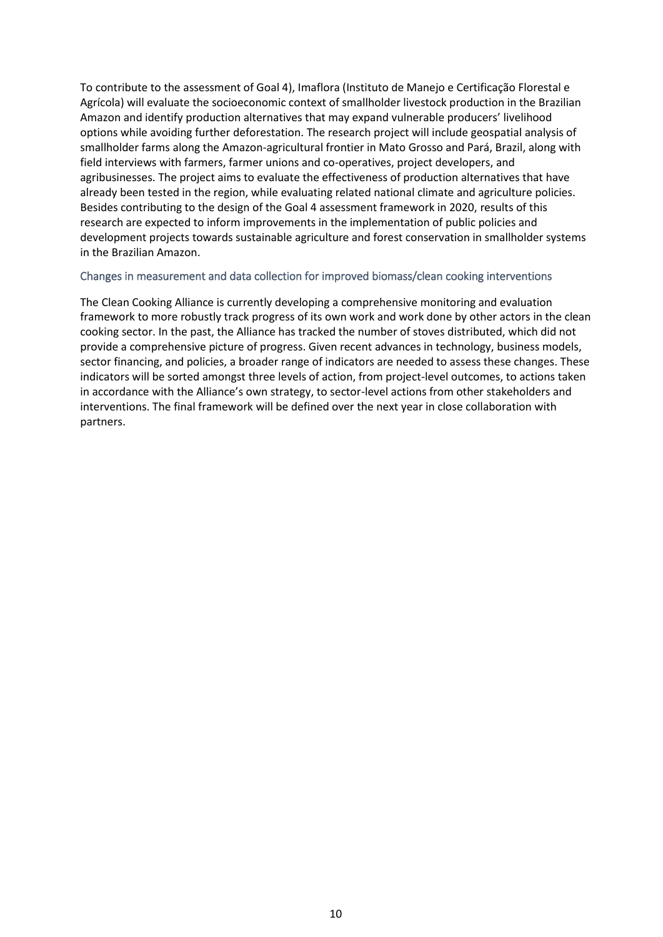To contribute to the assessment of Goal 4), Imaflora (Instituto de Manejo e Certificação Florestal e Agrícola) will evaluate the socioeconomic context of smallholder livestock production in the Brazilian Amazon and identify production alternatives that may expand vulnerable producers' livelihood options while avoiding further deforestation. The research project will include geospatial analysis of smallholder farms along the Amazon-agricultural frontier in Mato Grosso and Pará, Brazil, along with field interviews with farmers, farmer unions and co-operatives, project developers, and agribusinesses. The project aims to evaluate the effectiveness of production alternatives that have already been tested in the region, while evaluating related national climate and agriculture policies. Besides contributing to the design of the Goal 4 assessment framework in 2020, results of this research are expected to inform improvements in the implementation of public policies and development projects towards sustainable agriculture and forest conservation in smallholder systems in the Brazilian Amazon.

#### Changes in measurement and data collection for improved biomass/clean cooking interventions

The Clean Cooking Alliance is currently developing a comprehensive monitoring and evaluation framework to more robustly track progress of its own work and work done by other actors in the clean cooking sector. In the past, the Alliance has tracked the number of stoves distributed, which did not provide a comprehensive picture of progress. Given recent advances in technology, business models, sector financing, and policies, a broader range of indicators are needed to assess these changes. These indicators will be sorted amongst three levels of action, from project-level outcomes, to actions taken in accordance with the Alliance's own strategy, to sector-level actions from other stakeholders and interventions. The final framework will be defined over the next year in close collaboration with partners.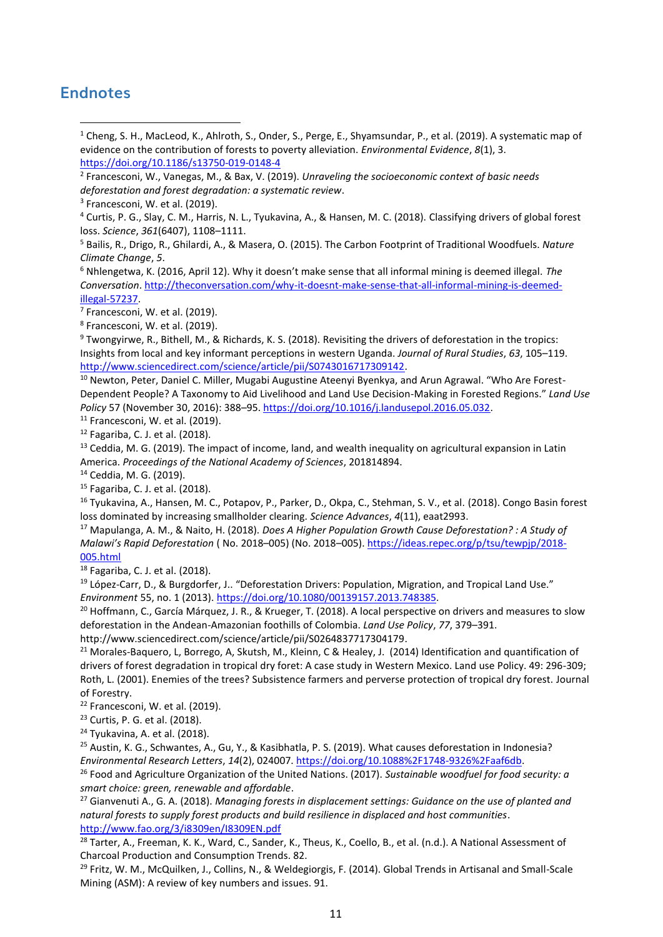# **Endnotes**

- <sup>1</sup> Cheng, S. H., MacLeod, K., Ahlroth, S., Onder, S., Perge, E., Shyamsundar, P., et al. (2019). A systematic map of evidence on the contribution of forests to poverty alleviation. *Environmental Evidence*, *8*(1), 3. <https://doi.org/10.1186/s13750-019-0148-4>
- 2 Francesconi, W., Vanegas, M., & Bax, V. (2019). *Unraveling the socioeconomic context of basic needs deforestation and forest degradation: a systematic review*.
- <sup>3</sup> Francesconi, W. et al. (2019).

<sup>5</sup> Bailis, R., Drigo, R., Ghilardi, A., & Masera, O. (2015). The Carbon Footprint of Traditional Woodfuels. *Nature Climate Change*, *5*.

<sup>6</sup> Nhlengetwa, K. (2016, April 12). Why it doesn't make sense that all informal mining is deemed illegal. *The Conversation*. [http://theconversation.com/why-it-doesnt-make-sense-that-all-informal-mining-is-deemed](http://theconversation.com/why-it-doesnt-make-sense-that-all-informal-mining-is-deemed-illegal-57237)[illegal-57237.](http://theconversation.com/why-it-doesnt-make-sense-that-all-informal-mining-is-deemed-illegal-57237)

 $7$  Francesconi, W. et al. (2019).

8 Francesconi, W. et al. (2019).

<sup>9</sup> Twongyirwe, R., Bithell, M., & Richards, K. S. (2018). Revisiting the drivers of deforestation in the tropics: Insights from local and key informant perceptions in western Uganda. *Journal of Rural Studies*, *63*, 105–119. [http://www.sciencedirect.com/science/article/pii/S0743016717309142.](http://www.sciencedirect.com/science/article/pii/S0743016717309142)

<sup>10</sup> Newton, Peter, Daniel C. Miller, Mugabi Augustine Ateenyi Byenkya, and Arun Agrawal. "Who Are Forest-Dependent People? A Taxonomy to Aid Livelihood and Land Use Decision-Making in Forested Regions." *Land Use Policy* 57 (November 30, 2016): 388–95[. https://doi.org/10.1016/j.landusepol.2016.05.032.](https://doi.org/10.1016/j.landusepol.2016.05.032)

<sup>11</sup> Francesconi, W. et al. (2019).

<sup>12</sup> Fagariba, C. J. et al. (2018).

<sup>13</sup> Ceddia, M. G. (2019). The impact of income, land, and wealth inequality on agricultural expansion in Latin America. *Proceedings of the National Academy of Sciences*, 201814894.

<sup>14</sup> Ceddia, M. G. (2019).

<sup>15</sup> Fagariba, C. J. et al. (2018).

<sup>16</sup> Tyukavina, A., Hansen, M. C., Potapov, P., Parker, D., Okpa, C., Stehman, S. V., et al. (2018). Congo Basin forest loss dominated by increasing smallholder clearing. *Science Advances*, *4*(11), eaat2993.

<sup>17</sup> Mapulanga, A. M., & Naito, H. (2018). *Does A Higher Population Growth Cause Deforestation? : A Study of Malawi's Rapid Deforestation* ( No. 2018–005) (No. 2018–005). [https://ideas.repec.org/p/tsu/tewpjp/2018-](https://ideas.repec.org/p/tsu/tewpjp/2018-005.html) [005.html](https://ideas.repec.org/p/tsu/tewpjp/2018-005.html)

<sup>18</sup> Fagariba, C. J. et al. (2018).

<sup>19</sup> López-Carr, D., & Burgdorfer, J.. "Deforestation Drivers: Population, Migration, and Tropical Land Use." *Environment* 55, no. 1 (2013)[. https://doi.org/10.1080/00139157.2013.748385.](https://doi.org/10.1080/00139157.2013.748385)

<sup>20</sup> Hoffmann, C., García Márquez, J. R., & Krueger, T. (2018). A local perspective on drivers and measures to slow deforestation in the Andean-Amazonian foothills of Colombia. *Land Use Policy*, *77*, 379–391. http://www.sciencedirect.com/science/article/pii/S0264837717304179.

<sup>21</sup> Morales-Baquero, L, Borrego, A, Skutsh, M., Kleinn, C & Healey, J. (2014) Identification and quantification of drivers of forest degradation in tropical dry foret: A case study in Western Mexico. Land use Policy. 49: 296-309; Roth, L. (2001). Enemies of the trees? Subsistence farmers and perverse protection of tropical dry forest. Journal of Forestry.

<sup>22</sup> Francesconi, W. et al. (2019).

<sup>23</sup> Curtis, P. G. et al. (2018).

 $24$  Tyukavina, A. et al. (2018).

<sup>25</sup> Austin, K. G., Schwantes, A., Gu, Y., & Kasibhatla, P. S. (2019). What causes deforestation in Indonesia? *Environmental Research Letters*, *14*(2), 024007. [https://doi.org/10.1088%2F1748-9326%2Faaf6db.](https://doi.org/10.1088%2F1748-9326%2Faaf6db)

<sup>26</sup> Food and Agriculture Organization of the United Nations. (2017). *Sustainable woodfuel for food security: a smart choice: green, renewable and affordable*.

<sup>27</sup> Gianvenuti A., G. A. (2018). *Managing forests in displacement settings: Guidance on the use of planted and natural forests to supply forest products and build resilience in displaced and host communities*. <http://www.fao.org/3/i8309en/I8309EN.pdf>

<sup>28</sup> Tarter, A., Freeman, K. K., Ward, C., Sander, K., Theus, K., Coello, B., et al. (n.d.). A National Assessment of Charcoal Production and Consumption Trends. 82.

<sup>29</sup> Fritz, W. M., McQuilken, J., Collins, N., & Weldegiorgis, F. (2014). Global Trends in Artisanal and Small-Scale Mining (ASM): A review of key numbers and issues. 91.

<sup>4</sup> Curtis, P. G., Slay, C. M., Harris, N. L., Tyukavina, A., & Hansen, M. C. (2018). Classifying drivers of global forest loss. *Science*, *361*(6407), 1108–1111.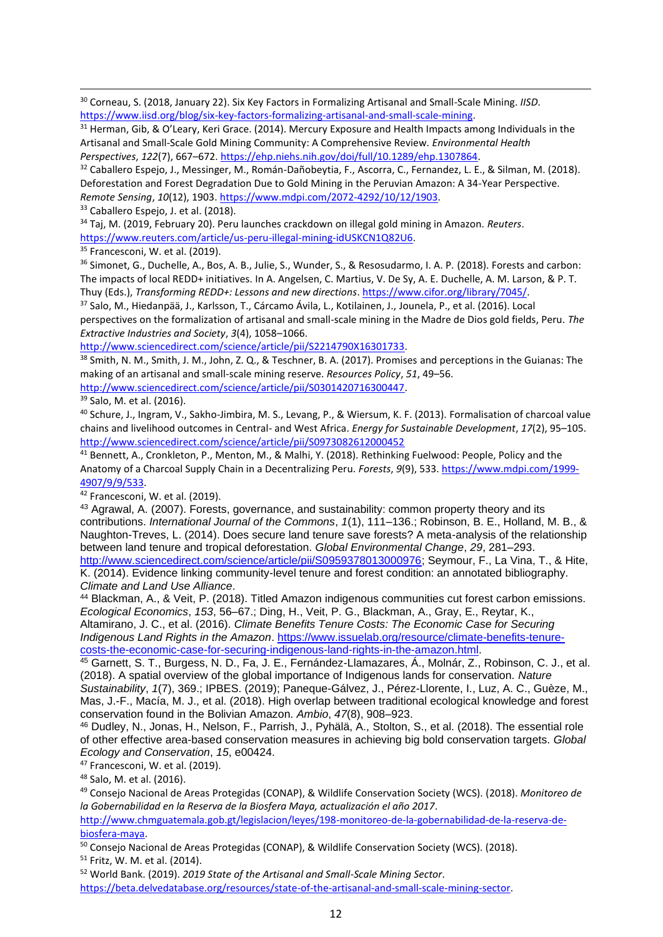<sup>30</sup> Corneau, S. (2018, January 22). Six Key Factors in Formalizing Artisanal and Small-Scale Mining. *IISD*. [https://www.iisd.org/blog/six-key-factors-formalizing-artisanal-and-small-scale-mining.](https://www.iisd.org/blog/six-key-factors-formalizing-artisanal-and-small-scale-mining)

 $31$  Herman, Gib, & O'Leary, Keri Grace. (2014). Mercury Exposure and Health Impacts among Individuals in the Artisanal and Small-Scale Gold Mining Community: A Comprehensive Review. *Environmental Health Perspectives*, *122*(7), 667–672. [https://ehp.niehs.nih.gov/doi/full/10.1289/ehp.1307864.](https://ehp.niehs.nih.gov/doi/full/10.1289/ehp.1307864)

<sup>32</sup> Caballero Espejo, J., Messinger, M., Román-Dañobeytia, F., Ascorra, C., Fernandez, L. E., & Silman, M. (2018). Deforestation and Forest Degradation Due to Gold Mining in the Peruvian Amazon: A 34-Year Perspective. *Remote Sensing*, *10*(12), 1903[. https://www.mdpi.com/2072-4292/10/12/1903.](https://www.mdpi.com/2072-4292/10/12/1903)

33 Caballero Espejo, J. et al. (2018).

<sup>34</sup> Taj, M. (2019, February 20). Peru launches crackdown on illegal gold mining in Amazon. *Reuters*. [https://www.reuters.com/article/us-peru-illegal-mining-idUSKCN1Q82U6.](https://www.reuters.com/article/us-peru-illegal-mining-idUSKCN1Q82U6)

<sup>35</sup> Francesconi, W. et al. (2019).

<sup>36</sup> Simonet, G., Duchelle, A., Bos, A. B., Julie, S., Wunder, S., & Resosudarmo, I. A. P. (2018). Forests and carbon: The impacts of local REDD+ initiatives. In A. Angelsen, C. Martius, V. De Sy, A. E. Duchelle, A. M. Larson, & P. T. Thuy (Eds.), *Transforming REDD+: Lessons and new directions*[. https://www.cifor.org/library/7045/.](https://www.cifor.org/library/7045/)

<sup>37</sup> Salo, M., Hiedanpää, J., Karlsson, T., Cárcamo Ávila, L., Kotilainen, J., Jounela, P., et al. (2016). Local perspectives on the formalization of artisanal and small-scale mining in the Madre de Dios gold fields, Peru. *The Extractive Industries and Society*, *3*(4), 1058–1066.

[http://www.sciencedirect.com/science/article/pii/S2214790X16301733.](http://www.sciencedirect.com/science/article/pii/S2214790X16301733)

38 Smith, N. M., Smith, J. M., John, Z. Q., & Teschner, B. A. (2017). Promises and perceptions in the Guianas: The making of an artisanal and small-scale mining reserve. *Resources Policy*, *51*, 49–56.

[http://www.sciencedirect.com/science/article/pii/S0301420716300447.](http://www.sciencedirect.com/science/article/pii/S0301420716300447)

<sup>39</sup> Salo, M. et al. (2016).

<sup>40</sup> Schure, J., Ingram, V., Sakho-Jimbira, M. S., Levang, P., & Wiersum, K. F. (2013). Formalisation of charcoal value chains and livelihood outcomes in Central- and West Africa. *Energy for Sustainable Development*, *17*(2), 95–105. <http://www.sciencedirect.com/science/article/pii/S0973082612000452>

<sup>41</sup> Bennett, A., Cronkleton, P., Menton, M., & Malhi, Y. (2018). Rethinking Fuelwood: People, Policy and the Anatomy of a Charcoal Supply Chain in a Decentralizing Peru. *Forests*, *9*(9), 533. [https://www.mdpi.com/1999-](https://www.mdpi.com/1999-4907/9/9/533) [4907/9/9/533.](https://www.mdpi.com/1999-4907/9/9/533)

 $42$  Francesconi, W. et al. (2019).

43 Agrawal, A. (2007). Forests, governance, and sustainability: common property theory and its contributions. *International Journal of the Commons*, *1*(1), 111–136.; Robinson, B. E., Holland, M. B., & Naughton-Treves, L. (2014). Does secure land tenure save forests? A meta-analysis of the relationship between land tenure and tropical deforestation. *Global Environmental Change*, *29*, 281–293. [http://www.sciencedirect.com/science/article/pii/S0959378013000976;](http://www.sciencedirect.com/science/article/pii/S0959378013000976) Seymour, F., La Vina, T., & Hite,

K. (2014). Evidence linking community-level tenure and forest condition: an annotated bibliography. *Climate and Land Use Alliance*.

<sup>44</sup> Blackman, A., & Veit, P. (2018). Titled Amazon indigenous communities cut forest carbon emissions. *Ecological Economics*, *153*, 56–67.; Ding, H., Veit, P. G., Blackman, A., Gray, E., Reytar, K., Altamirano, J. C., et al. (2016). *Climate Benefits Tenure Costs: The Economic Case for Securing Indigenous Land Rights in the Amazon*. [https://www.issuelab.org/resource/climate-benefits-tenure](https://www.issuelab.org/resource/climate-benefits-tenure-costs-the-economic-case-for-securing-indigenous-land-rights-in-the-amazon.html)[costs-the-economic-case-for-securing-indigenous-land-rights-in-the-amazon.html.](https://www.issuelab.org/resource/climate-benefits-tenure-costs-the-economic-case-for-securing-indigenous-land-rights-in-the-amazon.html)

<sup>45</sup> Garnett, S. T., Burgess, N. D., Fa, J. E., Fernández-Llamazares, Á., Molnár, Z., Robinson, C. J., et al. (2018). A spatial overview of the global importance of Indigenous lands for conservation. *Nature* 

*Sustainability*, *1*(7), 369.; IPBES. (2019); Paneque-Gálvez, J., Pérez-Llorente, I., Luz, A. C., Guèze, M., Mas, J.-F., Macía, M. J., et al. (2018). High overlap between traditional ecological knowledge and forest conservation found in the Bolivian Amazon. *Ambio*, *47*(8), 908–923.

<sup>46</sup> Dudley, N., Jonas, H., Nelson, F., Parrish, J., Pyhälä, A., Stolton, S., et al. (2018). The essential role of other effective area-based conservation measures in achieving big bold conservation targets. *Global Ecology and Conservation*, *15*, e00424.

<sup>47</sup> Francesconi, W. et al. (2019).

<sup>48</sup> Salo, M. et al. (2016).

<sup>49</sup> Consejo Nacional de Areas Protegidas (CONAP), & Wildlife Conservation Society (WCS). (2018). *Monitoreo de la Gobernabilidad en la Reserva de la Biosfera Maya, actualización el año 2017*.

[http://www.chmguatemala.gob.gt/legislacion/leyes/198-monitoreo-de-la-gobernabilidad-de-la-reserva-de](http://www.chmguatemala.gob.gt/legislacion/leyes/198-monitoreo-de-la-gobernabilidad-de-la-reserva-de-biosfera-maya)[biosfera-maya.](http://www.chmguatemala.gob.gt/legislacion/leyes/198-monitoreo-de-la-gobernabilidad-de-la-reserva-de-biosfera-maya)

<sup>50</sup> Consejo Nacional de Areas Protegidas (CONAP), & Wildlife Conservation Society (WCS). (2018). <sup>51</sup> Fritz, W. M. et al. (2014).

<sup>52</sup> World Bank. (2019). *2019 State of the Artisanal and Small-Scale Mining Sector*.

[https://beta.delvedatabase.org/resources/state-of-the-artisanal-and-small-scale-mining-sector.](https://beta.delvedatabase.org/resources/state-of-the-artisanal-and-small-scale-mining-sector)